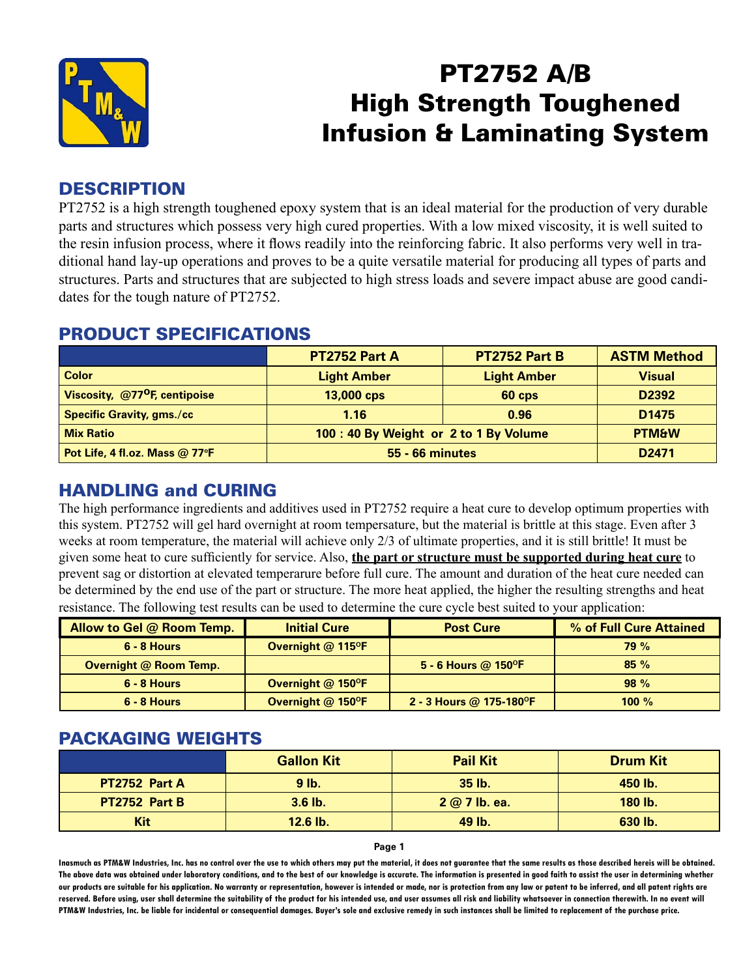

# PT2752 A/B High Strength Toughened Infusion & Laminating System

#### **DESCRIPTION**

PT2752 is a high strength toughened epoxy system that is an ideal material for the production of very durable parts and structures which possess very high cured properties. With a low mixed viscosity, it is well suited to the resin infusion process, where it flows readily into the reinforcing fabric. It also performs very well in traditional hand lay-up operations and proves to be a quite versatile material for producing all types of parts and structures. Parts and structures that are subjected to high stress loads and severe impact abuse are good candidates for the tough nature of PT2752.

|                                           | PT2752 Part A                          | <b>PT2752 Part B</b> | <b>ASTM Method</b> |
|-------------------------------------------|----------------------------------------|----------------------|--------------------|
| <b>Color</b>                              | <b>Light Amber</b>                     | <b>Light Amber</b>   | <b>Visual</b>      |
| Viscosity, @77 <sup>o</sup> F, centipoise | 13,000 cps                             | 60 cps               | D <sub>2392</sub>  |
| Specific Gravity, gms./cc                 | 1.16                                   | 0.96                 | D <sub>1475</sub>  |
| <b>Mix Ratio</b>                          | 100 : 40 By Weight or 2 to 1 By Volume |                      | <b>PTM&amp;W</b>   |
| Pot Life, 4 fl.oz. Mass @ 77°F            | <b>55 - 66 minutes</b>                 |                      | D <sub>2471</sub>  |

### PRODUCT SPECIFICATIONS

### HANDLING and CURING

The high performance ingredients and additives used in PT2752 require a heat cure to develop optimum properties with this system. PT2752 will gel hard overnight at room tempersature, but the material is brittle at this stage. Even after 3 weeks at room temperature, the material will achieve only 2/3 of ultimate properties, and it is still brittle! It must be given some heat to cure sufficiently for service. Also, **the part or structure must be supported during heat cure** to prevent sag or distortion at elevated temperarure before full cure. The amount and duration of the heat cure needed can be determined by the end use of the part or structure. The more heat applied, the higher the resulting strengths and heat resistance. The following test results can be used to determine the cure cycle best suited to your application:

| Allow to Gel @ Room Temp.     | <b>Initial Cure</b> | <b>Post Cure</b>                     | % of Full Cure Attained |
|-------------------------------|---------------------|--------------------------------------|-------------------------|
| $6 - 8$ Hours                 | Overnight @ 115°F   |                                      | 79%                     |
| <b>Overnight @ Room Temp.</b> |                     | 5 - 6 Hours @ 150 $^{\circ}$ F       | 85%                     |
| $6 - 8$ Hours                 | Overnight @ 150°F   |                                      | 98%                     |
| $6 - 8$ Hours                 | Overnight @ 150°F   | 2 - 3 Hours @ 175-180 <sup>o</sup> F | 100 $%$                 |

#### PACKAGING WEIGHTS

|               | <b>Gallon Kit</b> | <b>Pail Kit</b> | <b>Drum Kit</b> |
|---------------|-------------------|-----------------|-----------------|
| PT2752 Part A | $9$ lb.           | $35$ lb.        | 450 lb.         |
| PT2752 Part B | $3.6$ lb.         | 2 @ 7 lb. ea.   | 180 lb.         |
| <b>Kit</b>    | 12.6 lb.          | 49 lb.          | 630 lb.         |

#### **Page 1**

**Inasmuch as PTM&W Industries, Inc. has no control over the use to which others may put the material, it does not guarantee that the same results as those described hereis will be obtained. The above data was obtained under laboratory conditions, and to the best of our knowledge is accurate. The information is presented in good faith to assist the user in determining whether our products are suitable for his application. No warranty or representation, however is intended or made, nor is protection from any law or patent to be inferred, and all patent rights are**  reserved. Before using, user shall determine the suitability of the product for his intended use, and user assumes all risk and liability whatsoever in connection therewith. In no event will **PTM&W Industries, Inc. be liable for incidental or consequential damages. Buyer's sole and exclusive remedy in such instances shall be limited to replacement of the purchase price.**